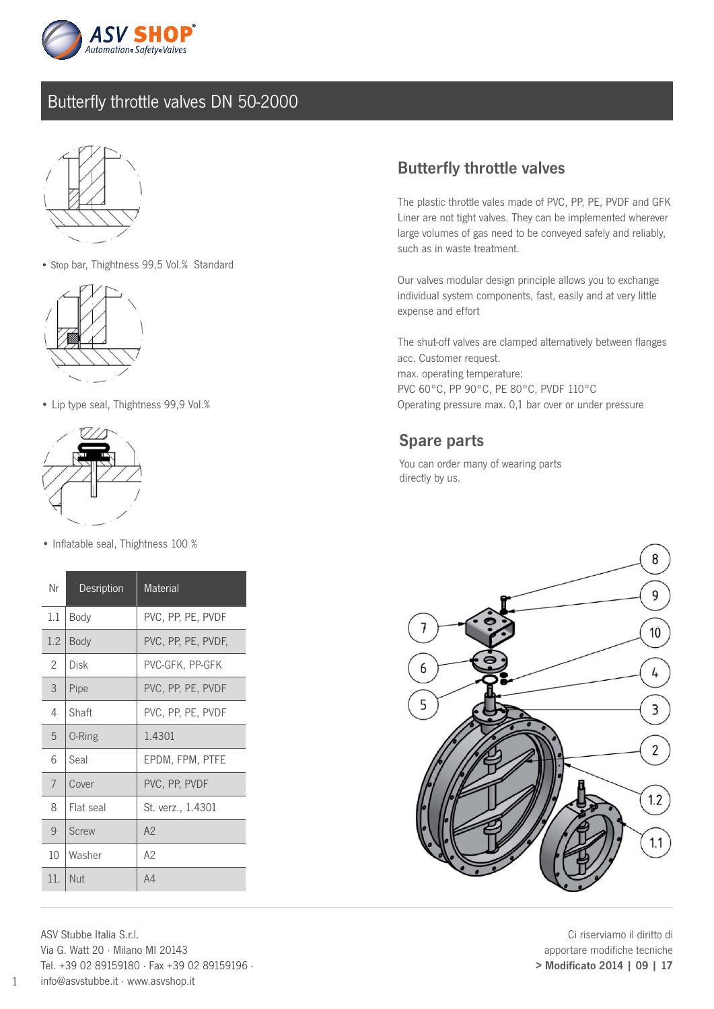

### Butterfly throttle valves DN 50-2000



• Stop bar, Thightness 99,5 Vol.% Standard



• Lip type seal, Thightness 99,9 Vol.%



• Inflatable seal, Thightness 100 %

| Nr      | <b>Desription</b> | Material           |
|---------|-------------------|--------------------|
| $1.1\,$ | Body              | PVC, PP, PE, PVDF  |
| 1.2     | Body              | PVC, PP, PE, PVDF, |
| 2       | Disk              | PVC-GFK, PP-GFK    |
| 3       | Pipe              | PVC, PP, PE, PVDF  |
| 4       | Shaft             | PVC, PP, PE, PVDF  |
| 5       | 0-Ring            | 1.4301             |
| 6       | Seal              | EPDM, FPM, PTFE    |
| 7       | Cover             | PVC, PP, PVDF      |
| 8       | Flat seal         | St. verz., 1.4301  |
| 9       | <b>Screw</b>      | A <sup>2</sup>     |
| 10      | Washer            | A2                 |
| 11.     | Nut               | A4                 |

ASV Stubbe Italia S.r.l. Via G. Watt 20 · Milano MI 20143 Tel. +39 02 89159180 · Fax +39 02 89159196 · info@asvstubbe.it · www.asvshop.it

### Butterfly throttle valves

The plastic throttle vales made of PVC, PP, PE, PVDF and GFK Liner are not tight valves. They can be implemented wherever large volumes of gas need to be conveyed safely and reliably, such as in waste treatment.

Our valves modular design principle allows you to exchange individual system components, fast, easily and at very little expense and effort

The shut-off valves are clamped alternatively between flanges acc. Customer request. max. operating temperature: PVC 60°C, PP 90°C, PE 80°C, PVDF 110°C Operating pressure max. 0,1 bar over or under pressure

#### Spare parts

You can order many of wearing parts directly by us.



Ci riserviamo il diritto di apportare modifiche tecniche > Modificato 2014 | 09 | 17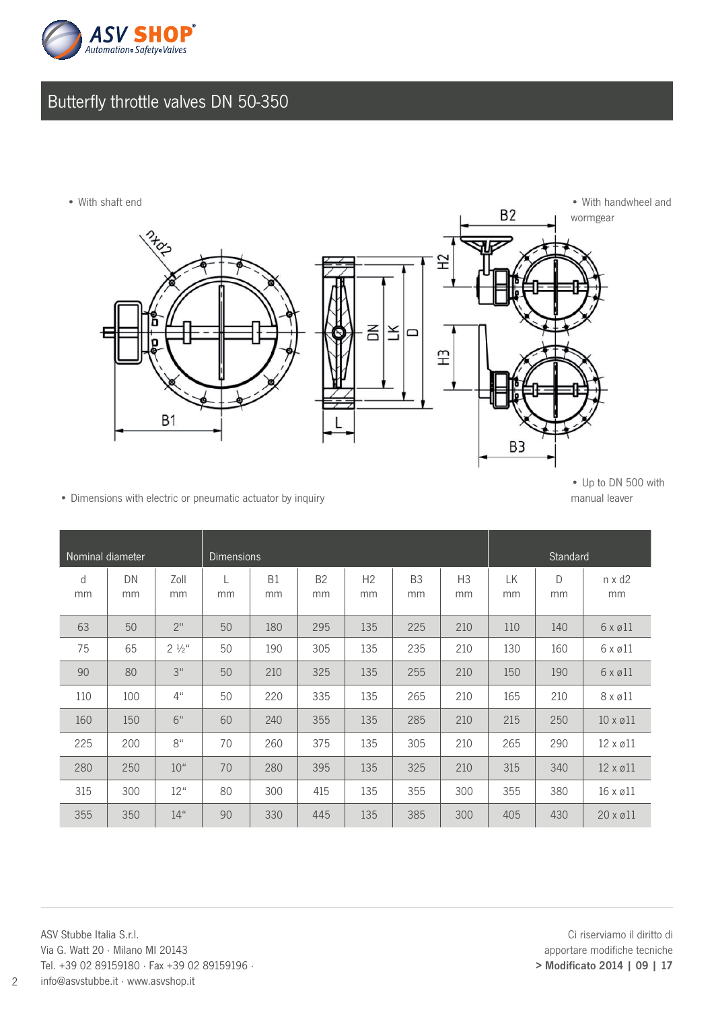

# Butterfly throttle valves DN 50-350



• Dimensions with electric or pneumatic actuator by inquiry manual leaver

| Nominal diameter |          |                    | <b>Dimensions</b> |                 |                 |                      |                      |                      | Standard |         |                          |
|------------------|----------|--------------------|-------------------|-----------------|-----------------|----------------------|----------------------|----------------------|----------|---------|--------------------------|
| d<br>mm          | DN<br>mm | Zoll<br>mm         | mm                | <b>B1</b><br>mm | <b>B2</b><br>mm | H <sub>2</sub><br>mm | B <sub>3</sub><br>mm | H <sub>3</sub><br>mm | LК<br>mm | D<br>mm | $n \times d2$<br>mm      |
| 63               | 50       | 2 <sup>11</sup>    | 50                | 180             | 295             | 135                  | 225                  | 210                  | 110      | 140     | $6 \times 211$           |
| 75               | 65       | $2\frac{1}{2}$ "   | 50                | 190             | 305             | 135                  | 235                  | 210                  | 130      | 160     | $6 \times 211$           |
| 90               | 80       | 3 <sup>u</sup>     | 50                | 210             | 325             | 135                  | 255                  | 210                  | 150      | 190     | $6 \times 211$           |
| 110              | 100      | $4^{\prime\prime}$ | 50                | 220             | 335             | 135                  | 265                  | 210                  | 165      | 210     | $8 \times 211$           |
| 160              | 150      | 6"                 | 60                | 240             | 355             | 135                  | 285                  | 210                  | 215      | 250     | $10 \times \emptyset$ 11 |
| 225              | 200      | 8 <sup>u</sup>     | 70                | 260             | 375             | 135                  | 305                  | 210                  | 265      | 290     | $12 \times 211$          |
| 280              | 250      | 10 <sup>u</sup>    | 70                | 280             | 395             | 135                  | 325                  | 210                  | 315      | 340     | $12 \times 211$          |
| 315              | 300      | 12"                | 80                | 300             | 415             | 135                  | 355                  | 300                  | 355      | 380     | $16 \times 211$          |
| 355              | 350      | 14"                | 90                | 330             | 445             | 135                  | 385                  | 300                  | 405      | 430     | $20 \times 011$          |

ASV Stubbe Italia S.r.l. Via G. Watt 20 · Milano MI 20143 Tel. +39 02 89159180 · Fax +39 02 89159196 · info@asvstubbe.it · www.asvshop.it